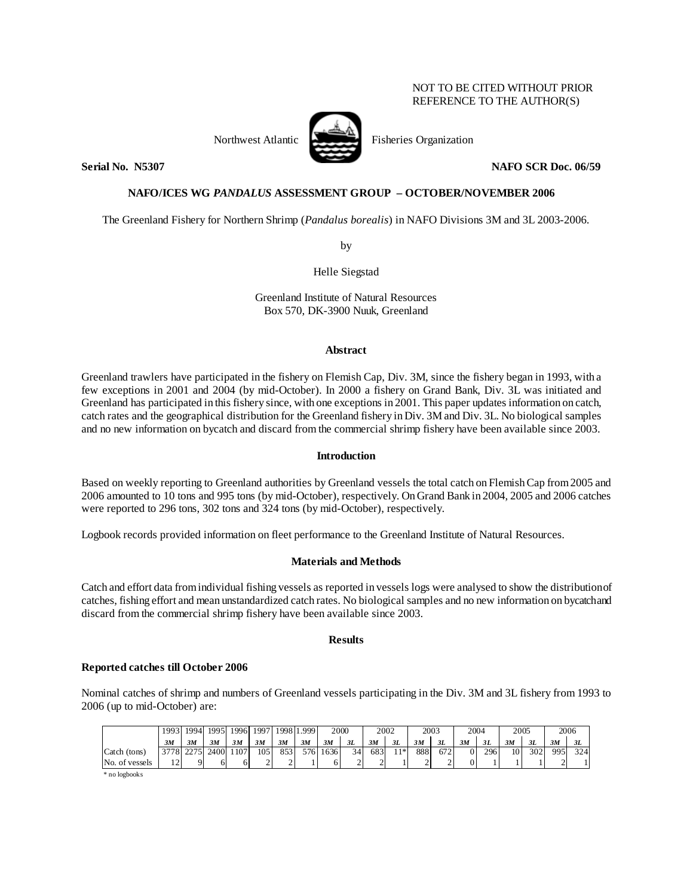# NOT TO BE CITED WITHOUT PRIOR REFERENCE TO THE AUTHOR(S)

Northwest Atlantic Fisheries Organization



**Serial No. 38307 NAFO SCR Doc. 06/59** 

# **NAFO/ICES WG** *PANDALUS* **ASSESSMENT GROUP – OCTOBER/NOVEMBER 2006**

The Greenland Fishery for Northern Shrimp (*Pandalus borealis*) in NAFO Divisions 3M and 3L 2003-2006.

by

Helle Siegstad

Greenland Institute of Natural Resources Box 570, DK-3900 Nuuk, Greenland

#### **Abstract**

Greenland trawlers have participated in the fishery on Flemish Cap, Div. 3M, since the fishery began in 1993, with a few exceptions in 2001 and 2004 (by mid-October). In 2000 a fishery on Grand Bank, Div. 3L was initiated and Greenland has participated in this fishery since, with one exceptions in 2001. This paper updates information on catch, catch rates and the geographical distribution for the Greenland fishery in Div. 3M and Div. 3L. No biological samples and no new information on bycatch and discard from the commercial shrimp fishery have been available since 2003.

# **Introduction**

Based on weekly reporting to Greenland authorities by Greenland vessels the total catch on Flemish Cap from 2005 and 2006 amounted to 10 tons and 995 tons (by mid-October), respectively. On Grand Bank in 2004, 2005 and 2006 catches were reported to 296 tons, 302 tons and 324 tons (by mid-October), respectively.

Logbook records provided information on fleet performance to the Greenland Institute of Natural Resources.

#### **Materials and Methods**

Catch and effort data from individual fishing vessels as reported in vessels logs were analysed to show the distribution of catches, fishing effort and mean unstandardized catch rates. No biological samples and no new information on bycatch and discard from the commercial shrimp fishery have been available since 2003.

# **Results**

# **Reported catches till October 2006**

Nominal catches of shrimp and numbers of Greenland vessels participating in the Div. 3M and 3L fishery from 1993 to 2006 (up to mid-October) are:

|                | 19931              | 1994 | 1995 |     | 1996 1997 | 1998 <sub>1</sub> | !999. |      | 2000 | 2002 |      | 2003 |      | 2004 |     | 2005            |     |     | 2006 |
|----------------|--------------------|------|------|-----|-----------|-------------------|-------|------|------|------|------|------|------|------|-----|-----------------|-----|-----|------|
|                | 3M                 | 3M   | 3M   | 3M  | 3M        | 3M                | 3M    | 3M   | 3L   | 3M   | 3L   | 3M   | 3L   | 3M   | 3L  | 3M              | 3L  | 3M  | 3L   |
| Catch (tons)   | 37781              | 2275 | 2400 | 107 | 105       | 853               | 576   | 1636 | 34   | 683  | $1*$ | 888  | 6721 | 0    | 296 | 10 <sub>1</sub> | 302 | 995 | 324  |
| No. of vessels | $1^{\circ}$<br>. . |      |      |     |           |                   |       |      |      |      |      |      | -    |      |     |                 |     |     |      |

\* no logbooks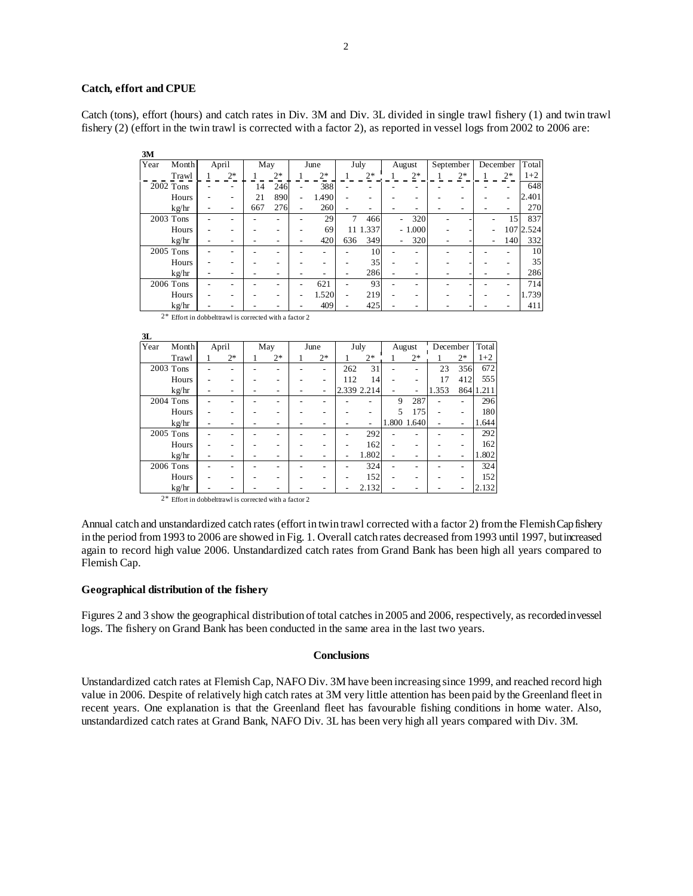#### **Catch, effort and CPUE**

Catch (tons), effort (hours) and catch rates in Div. 3M and Div. 3L divided in single trawl fishery (1) and twin trawl fishery (2) (effort in the twin trawl is corrected with a factor 2), as reported in vessel logs from 2002 to 2006 are:

| 3M   |           |       |      |     |      |      |       |      |          |                          |          |           |      |          |                 |           |
|------|-----------|-------|------|-----|------|------|-------|------|----------|--------------------------|----------|-----------|------|----------|-----------------|-----------|
| Year | Month     | April |      | May |      | June |       | July |          | August                   |          | September |      | December |                 | Total     |
|      | Trawl     |       | $2*$ |     | $2*$ |      | $2*$  |      | $2*$     |                          | $2*$     |           | $2*$ |          | $2*$            | $1+2$     |
|      | 2002 Tons |       |      | 14  | 246  |      | 388   |      |          |                          |          |           |      |          |                 | 648       |
|      | Hours     |       |      | 21  | 890  |      | 1.490 |      |          |                          |          |           |      |          | -               | 2.401     |
|      | kg/hr     |       |      | 667 | 276  |      | 260   |      |          |                          |          |           |      |          |                 | 270       |
|      | 2003 Tons |       |      |     |      |      | 29    | 7    | 466      | $\overline{\phantom{0}}$ | 320      |           |      |          | 15 <sup>1</sup> | 837       |
|      | Hours     |       |      |     |      |      | 69    |      | 11 1.337 |                          | $-1.000$ |           |      |          |                 | 107 2.524 |
|      | kg/hr     |       |      |     |      |      | 420   | 636  | 349      | $\overline{\phantom{0}}$ | 320      |           |      |          | 140             | 332       |
|      | 2005 Tons |       |      |     |      |      |       |      | 10       |                          |          |           |      |          |                 | 10        |
|      | Hours     |       |      |     |      |      |       |      | 35       |                          |          |           |      |          |                 | 35        |
|      | kg/hr     |       |      |     |      |      |       |      | 286      |                          |          |           |      |          |                 | 286       |
|      | 2006 Tons |       |      |     |      |      | 621   |      | 93       |                          |          |           |      |          |                 | 714       |
|      | Hours     |       |      |     |      |      | 1.520 |      | 219      |                          |          |           |      |          |                 | 1.739     |
|      | kg/hr     |       |      |     |      |      | 409   |      | 425      |                          |          |           |      |          |                 | 411       |

| $2^*$ Effort in dobbelt trawl is corrected with a factor 2 |  |
|------------------------------------------------------------|--|
|------------------------------------------------------------|--|

| 3L   |                                                     |       |      |     |      |      |                          |      |                          |        |             |          |      |           |
|------|-----------------------------------------------------|-------|------|-----|------|------|--------------------------|------|--------------------------|--------|-------------|----------|------|-----------|
| Year | Month                                               | April |      | May |      | June |                          | July |                          | August |             | December |      | Total     |
|      | Trawl                                               |       | $2*$ |     | $2*$ |      | $2*$                     |      | $2*$                     |        | $2*$        |          | $2*$ | $1+2$     |
|      | 2003 Tons                                           |       |      |     |      |      |                          | 262  | 31                       |        |             | 23       | 356  | 672       |
|      | Hours                                               |       |      |     |      |      |                          | 112  | 14                       |        |             | 17       | 412  | 555       |
|      | kg/hr                                               |       |      |     |      |      | $\overline{\phantom{0}}$ |      | 2.339 2.214              |        | -           | 1.353    |      | 864 1.211 |
|      | $2004$ Tons                                         |       |      |     |      |      |                          |      |                          | 9      | 287         |          |      | 296       |
|      | Hours                                               |       |      |     |      |      |                          |      |                          | 5      | 175         |          |      | 180       |
|      | kg/hr                                               |       |      |     |      |      |                          |      | $\overline{\phantom{0}}$ |        | 1.800 1.640 |          |      | 1.644     |
|      | 2005 Tons                                           |       |      |     |      |      |                          |      | 292                      |        |             |          |      | 292       |
|      | Hours                                               |       |      |     |      |      |                          |      | 162                      |        |             |          |      | 162       |
|      | kg/hr                                               |       |      |     |      |      |                          |      | 1.802                    |        |             |          |      | 1.802     |
|      | 2006 Tons                                           |       |      |     |      |      |                          |      | 324                      |        |             |          |      | 324       |
|      | Hours                                               |       |      |     |      |      |                          |      | 152                      |        |             |          |      | 152       |
|      | kg/hr                                               |       |      |     |      |      |                          |      | 2.132                    |        |             |          |      | 2.132     |
| $2*$ | Effort in dobbelttrawl is corrected with a factor 2 |       |      |     |      |      |                          |      |                          |        |             |          |      |           |

Annual catch and unstandardized catch rates (effort in twin trawl corrected with a factor 2) from the Flemish Cap fishery

in the period from 1993 to 2006 are showed in Fig. 1. Overall catch rates decreased from 1993 until 1997, but increased again to record high value 2006. Unstandardized catch rates from Grand Bank has been high all years compared to Flemish Cap.

#### **Geographical distribution of the fishery**

Figures 2 and 3 show the geographical distribution of total catches in 2005 and 2006, respectively, as recorded in vessel logs. The fishery on Grand Bank has been conducted in the same area in the last two years.

### **Conclusions**

Unstandardized catch rates at Flemish Cap, NAFO Div. 3M have been increasing since 1999, and reached record high value in 2006. Despite of relatively high catch rates at 3M very little attention has been paid by the Greenland fleet in recent years. One explanation is that the Greenland fleet has favourable fishing conditions in home water. Also, unstandardized catch rates at Grand Bank, NAFO Div. 3L has been very high all years compared with Div. 3M.